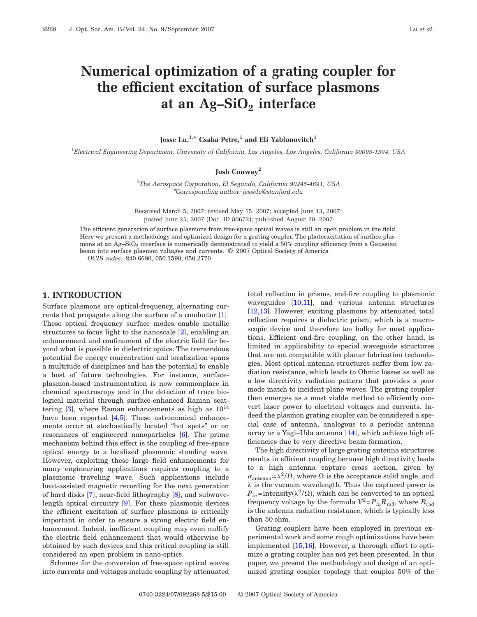# **Numerical optimization of a grating coupler for the efficient excitation of surface plasmons** at an Ag-SiO<sub>2</sub> interface

## **Jesse Lu,**<sup> $1,$ \*</sup> **Csaba Petre,<sup>1</sup> and Eli Yablonovitch<sup>1</sup>**

1 *Electrical Engineering Department, University of California, Los Angeles, Los Angeles, California 90095-1594, USA*

# **Josh Conway2**

2 *The Aerospace Corporation, El Segundo, California 90245-4691, USA* \**Corresponding author: jesselu@stanford.edu*

Received March 5, 2007; revised May 15, 2007; accepted June 13, 2007; posted June 25, 2007 (Doc. ID 80672); published August 20, 2007

The efficient generation of surface plasmons from free-space optical waves is still an open problem in the field. Here we present a methodology and optimized design for a grating coupler. The photoexcitation of surface plasmons at an  $Ag-SiO<sub>2</sub>$  interface is numerically demonstrated to yield a 50% coupling efficiency from a Gaussian beam into surface plasmon voltages and currents. © 2007 Optical Society of America *OCIS codes:* 240.6680, 050.1590, 050.2770.

## **1. INTRODUCTION**

Surface plasmons are optical-frequency, alternating currents that propagate along the surface of a conductor [\[1\]](#page-3-0). These optical frequency surface modes enable metallic structures to focus light to the nanoscale [\[2\]](#page-3-1), enabling an enhancement and confinement of the electric field far beyond what is possible in dielectric optics. The tremendous potential for energy concentration and localization spans a multitude of disciplines and has the potential to enable a host of future technologies. For instance, surfaceplasmon-based instrumentation is now commonplace in chemical spectroscopy and in the detection of trace biological material through surface-enhanced Raman scattering  $[3]$ , where Raman enhancements as high as  $10^{14}$ have been reported [\[4,](#page-3-3)[5\]](#page-3-4). These astronomical enhancements occur at stochastically located "hot spots" or on resonances of engineered nanoparticles [\[6\]](#page-3-5). The prime mechanism behind this effect is the coupling of free-space optical energy to a localized plasmonic standing wave. However, exploiting these large field enhancements for many engineering applications requires coupling to a plasmonic traveling wave. Such applications include heat-assisted magnetic recording for the next generation of hard disks [\[7\]](#page-3-6), near-field lithography [\[8\]](#page-3-7), and subwavelength optical circuitry [\[9\]](#page-3-8). For these plasmonic devices the efficient excitation of surface plasmons is critically important in order to ensure a strong electric field enhancement. Indeed, inefficient coupling may even nullify the electric field enhancement that would otherwise be obtained by such devices and this critical coupling is still considered an open problem in nano-optics.

Schemes for the conversion of free-space optical waves into currents and voltages include coupling by attenuated total reflection in prisms, end-fire coupling to plasmonic waveguides [\[10,](#page-4-0)[11\]](#page-4-1), and various antenna structures [\[12](#page-4-2)[,13\]](#page-4-3). However, exciting plasmons by attenuated total reflection requires a dielectric prism, which is a macroscopic device and therefore too bulky for most applications. Efficient end-fire coupling, on the other hand, is limited in applicability to special waveguide structures that are not compatible with planar fabrication technologies. Most optical antenna structures suffer from low radiation resistance, which leads to Ohmic losses as well as a low directivity radiation pattern that provides a poor mode match to incident plane waves. The grating coupler then emerges as a most viable method to efficiently convert laser power to electrical voltages and currents. Indeed the plasmon grating coupler can be considered a special case of antenna, analogous to a periodic antenna array or a Yagi–Uda antenna [\[14\]](#page-4-4), which achieve high efficiencies due to very directive beam formation.

The high directivity of large grating antenna structures results in efficient coupling because high directivity leads to a high antenna capture cross section, given by  $\sigma_{\text{antenna}} = \lambda^2 / \Omega$ , where  $\Omega$  is the acceptance solid angle, and  $\lambda$  is the vacuum wavelength. Thus the captured power is  $P_{in}$ =intensity( $\lambda^2/\Omega$ ), which can be converted to an optical frequency voltage by the formula  $V^2 = P_{in}R_{rad}$ , where  $R_{rad}$ is the antenna radiation resistance, which is typically less than 50 ohm.

Grating couplers have been employed in previous experimental work and some rough optimizations have been implemented [\[15,](#page-4-5)[16\]](#page-4-6). However, a thorough effort to optimize a grating coupler has not yet been presented. In this paper, we present the methodology and design of an optimized grating coupler topology that couples 50% of the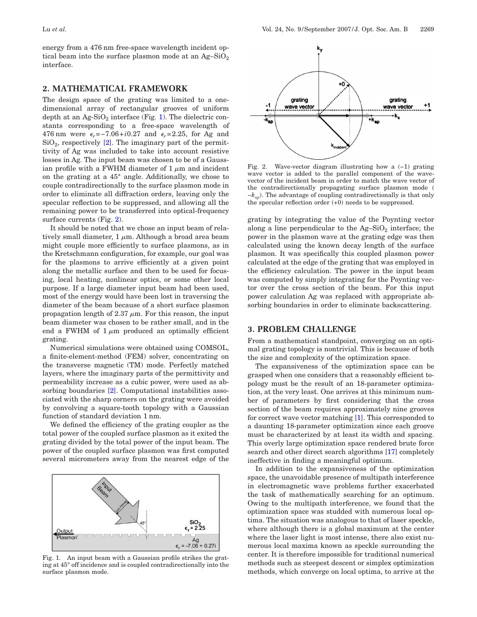energy from a 476 nm free-space wavelength incident optical beam into the surface plasmon mode at an  $Ag-SiO<sub>2</sub>$ interface.

# **2. MATHEMATICAL FRAMEWORK**

The design space of the grating was limited to a onedimensional array of rectangular grooves of uniform depth at an  $Ag-SiO<sub>2</sub>$  interface (Fig. [1\)](#page-1-0). The dielectric constants corresponding to a free-space wavelength of 476 nm were *r*=−7.06+*i*0.27 and *r*=2.25, for Ag and  $SiO<sub>2</sub>$ , respectively [\[2\]](#page-3-1). The imaginary part of the permittivity of Ag was included to take into account resistive losses in Ag. The input beam was chosen to be of a Gaussian profile with a FWHM diameter of  $1 \mu m$  and incident on the grating at a 45° angle. Additionally, we chose to couple contradirectionally to the surface plasmon mode in order to eliminate all diffraction orders, leaving only the specular reflection to be suppressed, and allowing all the remaining power to be transferred into optical-frequency surface currents (Fig. [2\)](#page-1-1).

It should be noted that we chose an input beam of relatively small diameter,  $1 \mu m$ . Although a broad area beam might couple more efficiently to surface plasmons, as in the Kretschmann configuration, for example, our goal was for the plasmons to arrive efficiently at a given point along the metallic surface and then to be used for focusing, local heating, nonlinear optics, or some other local purpose. If a large diameter input beam had been used, most of the energy would have been lost in traversing the diameter of the beam because of a short surface plasmon propagation length of 2.37  $\mu$ m. For this reason, the input beam diameter was chosen to be rather small, and in the end a FWHM of  $1 \mu m$  produced an optimally efficient grating.

Numerical simulations were obtained using COMSOL, a finite-element-method (FEM) solver, concentrating on the transverse magnetic (TM) mode. Perfectly matched layers, where the imaginary parts of the permittivity and permeability increase as a cubic power, were used as absorbing boundaries [\[2\]](#page-3-1). Computational instabilities associated with the sharp corners on the grating were avoided by convolving a square-tooth topology with a Gaussian function of standard deviation 1 nm.

We defined the efficiency of the grating coupler as the total power of the coupled surface plasmon as it exited the grating divided by the total power of the input beam. The power of the coupled surface plasmon was first computed several micrometers away from the nearest edge of the

<span id="page-1-0"></span>

Fig. 1. An input beam with a Gaussian profile strikes the grating at 45° off incidence and is coupled contradirectionally into the surface plasmon mode.

<span id="page-1-1"></span>

Fig. 2. Wave-vector diagram illustrating how a  $(-1)$  grating wave vector is added to the parallel component of the wavevector of the incident beam in order to match the wave vector of the contradirectionally propagating surface plasmon mode −*ksp*-. The advantage of coupling contradirectionally is that only the specular reflection order  $(+0)$  needs to be suppressed.

grating by integrating the value of the Poynting vector along a line perpendicular to the  $Ag-SiO<sub>2</sub>$  interface; the power in the plasmon wave at the grating edge was then calculated using the known decay length of the surface plasmon. It was specifically this coupled plasmon power calculated at the edge of the grating that was employed in the efficiency calculation. The power in the input beam was computed by simply integrating for the Poynting vector over the cross section of the beam. For this input power calculation Ag was replaced with appropriate absorbing boundaries in order to eliminate backscattering.

#### **3. PROBLEM CHALLENGE**

From a mathematical standpoint, converging on an optimal grating topology is nontrivial. This is because of both the size and complexity of the optimization space.

The expansiveness of the optimization space can be grasped when one considers that a reasonably efficient topology must be the result of an 18-parameter optimization, at the very least. One arrives at this minimum number of parameters by first considering that the cross section of the beam requires approximately nine grooves for correct wave vector matching [\[1\]](#page-3-0). This corresponded to a daunting 18-parameter optimization since each groove must be characterized by at least its width and spacing. This overly large optimization space rendered brute force search and other direct search algorithms [\[17\]](#page-4-7) completely ineffective in finding a meaningful optimum.

In addition to the expansiveness of the optimization space, the unavoidable presence of multipath interference in electromagnetic wave problems further exacerbated the task of mathematically searching for an optimum. Owing to the multipath interference, we found that the optimization space was studded with numerous local optima. The situation was analogous to that of laser speckle, where although there is a global maximum at the center where the laser light is most intense, there also exist numerous local maxima known as speckle surrounding the center. It is therefore impossible for traditional numerical methods such as steepest descent or simplex optimization methods, which converge on local optima, to arrive at the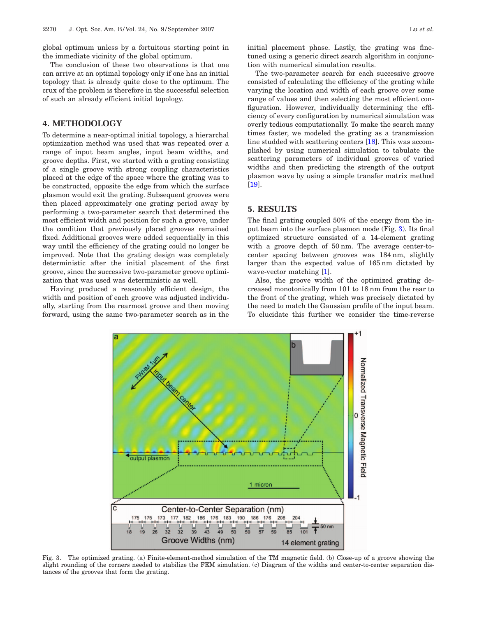global optimum unless by a fortuitous starting point in the immediate vicinity of the global optimum.

The conclusion of these two observations is that one can arrive at an optimal topology only if one has an initial topology that is already quite close to the optimum. The crux of the problem is therefore in the successful selection of such an already efficient initial topology.

## **4. METHODOLOGY**

To determine a near-optimal initial topology, a hierarchal optimization method was used that was repeated over a range of input beam angles, input beam widths, and groove depths. First, we started with a grating consisting of a single groove with strong coupling characteristics placed at the edge of the space where the grating was to be constructed, opposite the edge from which the surface plasmon would exit the grating. Subsequent grooves were then placed approximately one grating period away by performing a two-parameter search that determined the most efficient width and position for such a groove, under the condition that previously placed grooves remained fixed. Additional grooves were added sequentially in this way until the efficiency of the grating could no longer be improved. Note that the grating design was completely deterministic after the initial placement of the first groove, since the successive two-parameter groove optimization that was used was deterministic as well.

<span id="page-2-0"></span>Having produced a reasonably efficient design, the width and position of each groove was adjusted individually, starting from the rearmost groove and then moving forward, using the same two-parameter search as in the

The two-parameter search for each successive groove consisted of calculating the efficiency of the grating while varying the location and width of each groove over some range of values and then selecting the most efficient configuration. However, individually determining the efficiency of every configuration by numerical simulation was overly tedious computationally. To make the search many times faster, we modeled the grating as a transmission line studded with scattering centers [\[18\]](#page-4-8). This was accomplished by using numerical simulation to tabulate the scattering parameters of individual grooves of varied widths and then predicting the strength of the output plasmon wave by using a simple transfer matrix method [\[19\]](#page-4-9).

## **5. RESULTS**

The final grating coupled 50% of the energy from the input beam into the surface plasmon mode (Fig. [3\)](#page-2-0). Its final optimized structure consisted of a 14-element grating with a groove depth of 50 nm. The average center-tocenter spacing between grooves was 184 nm, slightly larger than the expected value of 165 nm dictated by wave-vector matching [\[1\]](#page-3-0).

Also, the groove width of the optimized grating decreased monotonically from 101 to 18 nm from the rear to the front of the grating, which was precisely dictated by the need to match the Gaussian profile of the input beam. To elucidate this further we consider the time-reverse



Fig. 3. The optimized grating. (a) Finite-element-method simulation of the TM magnetic field. (b) Close-up of a groove showing the slight rounding of the corners needed to stabilize the FEM simulation. (c) Diagram of the widths and center-to-center separation distances of the grooves that form the grating.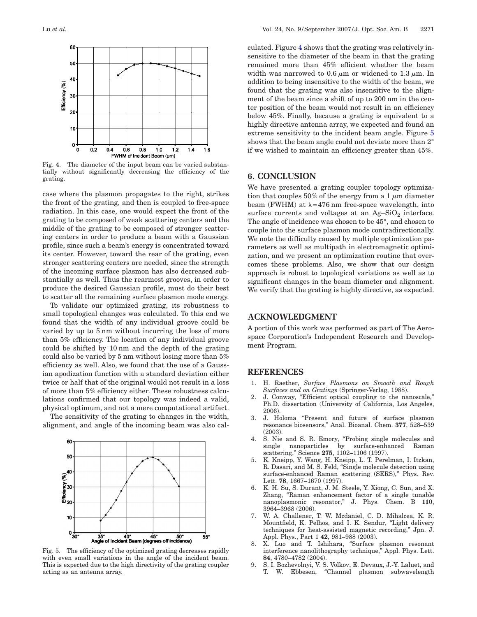<span id="page-3-9"></span>

Fig. 4. The diameter of the input beam can be varied substantially without significantly decreasing the efficiency of the grating.

case where the plasmon propagates to the right, strikes the front of the grating, and then is coupled to free-space radiation. In this case, one would expect the front of the grating to be composed of weak scattering centers and the middle of the grating to be composed of stronger scattering centers in order to produce a beam with a Gaussian profile, since such a beam's energy is concentrated toward its center. However, toward the rear of the grating, even stronger scattering centers are needed, since the strength of the incoming surface plasmon has also decreased substantially as well. Thus the rearmost grooves, in order to produce the desired Gaussian profile, must do their best to scatter all the remaining surface plasmon mode energy.

To validate our optimized grating, its robustness to small topological changes was calculated. To this end we found that the width of any individual groove could be varied by up to 5 nm without incurring the loss of more than 5% efficiency. The location of any individual groove could be shifted by 10 nm and the depth of the grating could also be varied by 5 nm without losing more than 5% efficiency as well. Also, we found that the use of a Gaussian apodization function with a standard deviation either twice or half that of the original would not result in a loss of more than 5% efficiency either. These robustness calculations confirmed that our topology was indeed a valid, physical optimum, and not a mere computational artifact.

<span id="page-3-10"></span>The sensitivity of the grating to changes in the width, alignment, and angle of the incoming beam was also cal-



Fig. 5. The efficiency of the optimized grating decreases rapidly with even small variations in the angle of the incident beam. This is expected due to the high directivity of the grating coupler acting as an antenna array.

culated. Figure [4](#page-3-9) shows that the grating was relatively insensitive to the diameter of the beam in that the grating remained more than 45% efficient whether the beam width was narrowed to 0.6  $\mu$ m or widened to 1.3  $\mu$ m. In addition to being insensitive to the width of the beam, we found that the grating was also insensitive to the alignment of the beam since a shift of up to 200 nm in the center position of the beam would not result in an efficiency below 45%. Finally, because a grating is equivalent to a highly directive antenna array, we expected and found an extreme sensitivity to the incident beam angle. Figure [5](#page-3-10) shows that the beam angle could not deviate more than 2° if we wished to maintain an efficiency greater than 45%.

#### **6. CONCLUSION**

We have presented a grating coupler topology optimization that couples 50% of the energy from a 1  $\mu$ m diameter beam (FWHM) at  $\lambda = 476$  nm free-space wavelength, into surface currents and voltages at an  $Ag-SiO<sub>2</sub>$  interface. The angle of incidence was chosen to be 45°, and chosen to couple into the surface plasmon mode contradirectionally. We note the difficulty caused by multiple optimization parameters as well as multipath in electromagnetic optimization, and we present an optimization routine that overcomes these problems. Also, we show that our design approach is robust to topological variations as well as to significant changes in the beam diameter and alignment. We verify that the grating is highly directive, as expected.

### **ACKNOWLEDGMENT**

A portion of this work was performed as part of The Aerospace Corporation's Independent Research and Development Program.

#### <span id="page-3-0"></span>**REFERENCES**

- 1. H. Raether, *Surface Plasmons on Smooth and Rough Surfaces and on Gratings* (Springer-Verlag, 1988).
- <span id="page-3-1"></span>2. J. Conway, "Efficient optical coupling to the nanoscale," Ph.D. dissertation (University of California, Los Angeles, 2006)
- <span id="page-3-2"></span>3. J. Holoma "Present and future of surface plasmon resonance biosensors," Anal. Bioanal. Chem. **377**, 528–539 (2003).
- <span id="page-3-3"></span>4. S. Nie and S. R. Emory, "Probing single molecules and single nanoparticles by surface-enhanced Raman scattering," Science **275**, 1102–1106 (1997).
- <span id="page-3-4"></span>5. K. Kneipp, Y. Wang, H. Kneipp, L. T. Perelman, I. Itzkan, R. Dasari, and M. S. Feld, "Single molecule detection using surface-enhanced Raman scattering (SERS)," Phys. Rev. Lett. **78**, 1667–1670 (1997).
- <span id="page-3-5"></span>6. K. H. Su, S. Durant, J. M. Steele, Y. Xiong, C. Sun, and X. Zhang, "Raman enhancement factor of a single tunable nanoplasmonic resonator," J. Phys. Chem. B **110**, 3964–3968 (2006).
- <span id="page-3-6"></span>7. W. A. Challener, T. W. Mcdaniel, C. D. Mihalcea, K. R. Mountfield, K. Pelhos, and I. K. Sendur, "Light delivery techniques for heat-assisted magnetic recording," Jpn. J. Appl. Phys., Part 1 **42**, 981–988 (2003).
- <span id="page-3-7"></span>8. X. Luo and T. Ishihara, "Surface plasmon resonant interference nanolithography technique," Appl. Phys. Lett. **84**, 4780–4782 (2004).
- <span id="page-3-8"></span>9. S. I. Bozhevolnyi, V. S. Volkov, E. Devaux, J.-Y. Laluet, and T. W. Ebbesen, "Channel plasmon subwavelength